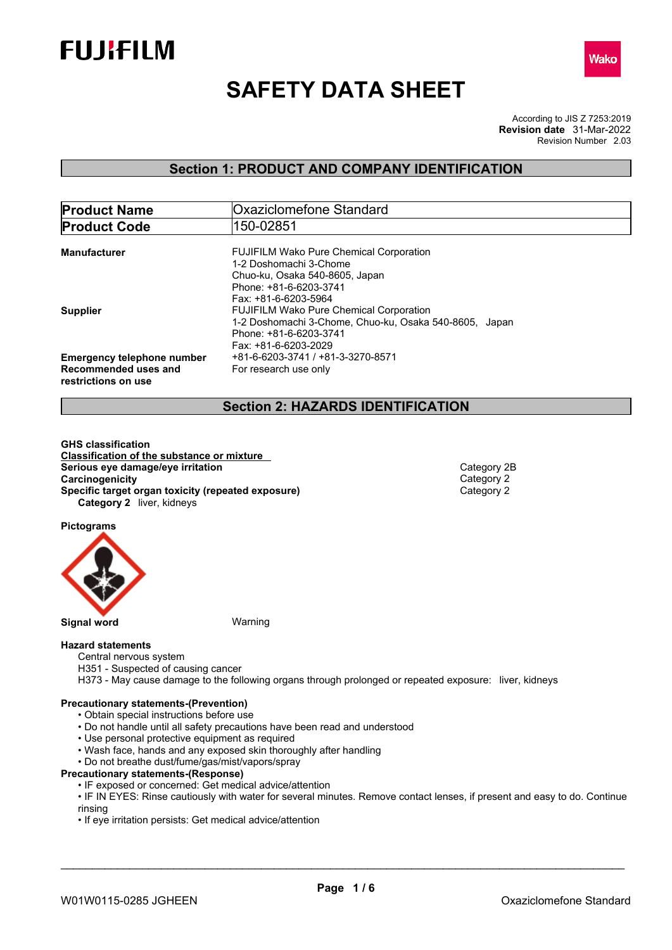



# **SAFETY DATA SHEET**

According to JIS Z 7253:2019 Revision Number 2.03 **Revision date** 31-Mar-2022

## **Section 1: PRODUCT AND COMPANY IDENTIFICATION**

| <b>Product Name</b>               | Oxaziclomefone Standard                                |  |  |
|-----------------------------------|--------------------------------------------------------|--|--|
| <b>Product Code</b>               | 150-02851                                              |  |  |
|                                   |                                                        |  |  |
| Manufacturer                      | <b>FUJIFILM Wako Pure Chemical Corporation</b>         |  |  |
|                                   | 1-2 Doshomachi 3-Chome                                 |  |  |
|                                   | Chuo-ku, Osaka 540-8605, Japan                         |  |  |
|                                   | Phone: +81-6-6203-3741                                 |  |  |
|                                   | Fax: +81-6-6203-5964                                   |  |  |
| <b>Supplier</b>                   | <b>FUJIFILM Wako Pure Chemical Corporation</b>         |  |  |
|                                   | 1-2 Doshomachi 3-Chome, Chuo-ku, Osaka 540-8605, Japan |  |  |
|                                   | Phone: +81-6-6203-3741                                 |  |  |
|                                   | Fax: +81-6-6203-2029                                   |  |  |
| <b>Emergency telephone number</b> | +81-6-6203-3741 / +81-3-3270-8571                      |  |  |
| Recommended uses and              | For research use only                                  |  |  |
|                                   |                                                        |  |  |
| restrictions on use               |                                                        |  |  |

## **Section 2: HAZARDS IDENTIFICATION**

**GHS classification Classification of the substance or mixture Serious eye damage/eye irritation**<br> **Category 2B**<br> **Category 2B**<br> **Category 2 Carcinogenicity**<br> **Category 2** Category 2<br> **Category 2** Category 2 **Specific target organ toxicity (repeated exposure) Category 2** liver, kidneys

**Pictograms**



**Signal word** Warning

#### **Hazard statements**

- Central nervous system
- H351 Suspected of causing cancer
- H373 May cause damage to the following organs through prolonged or repeated exposure: liver, kidneys

#### **Precautionary statements-(Prevention)**

- Obtain special instructions before use
- Do not handle until all safety precautions have been read and understood
- Use personal protective equipment as required
- Wash face, hands and any exposed skin thoroughly after handling
- Do not breathe dust/fume/gas/mist/vapors/spray

#### **Precautionary statements-(Response)**

• IF exposed or concerned: Get medical advice/attention

• IF IN EYES: Rinse cautiously with water for several minutes. Remove contact lenses, if present and easy to do. Continue rinsing

• If eye irritation persists: Get medical advice/attention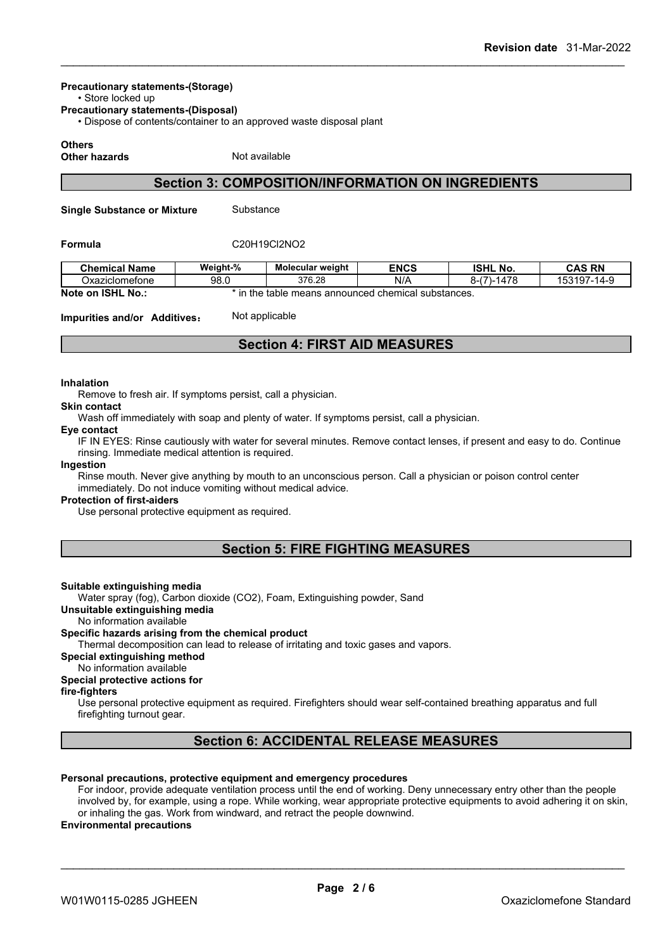## **Precautionary statements-(Storage)**

• Store locked up

**Precautionary statements-(Disposal)**

• Dispose of contents/container to an approved waste disposal plant

#### **Others**

**Other hazards** Not available

## **Section 3: COMPOSITION/INFORMATION ON INGREDIENTS**

**Single Substance or Mixture** Substance

#### **Formula** C20H19Cl2NO2

| <b>Chemical Name</b> | Weight-%                                                     | Molecular weight | <b>ENCS</b> | <b>ISHL No.</b>   | <b>CAS RN</b>    |
|----------------------|--------------------------------------------------------------|------------------|-------------|-------------------|------------------|
| Oxaziclomefone       | 98.0                                                         | 376.28           | N/A         | $-1478$<br>$\sim$ | 153197<br>$14-9$ |
| Note on ISHL No.:    | ın<br>; announced chemical substances.<br>the<br>table means |                  |             |                   |                  |

**Impurities and/or Additives:** Not applicable

## **Section 4: FIRST AID MEASURES**

#### **Inhalation**

Remove to fresh air. If symptoms persist, call a physician.

### **Skin contact**

Wash off immediately with soap and plenty of water. If symptoms persist, call a physician.

#### **Eye contact**

IF IN EYES: Rinse cautiously with water for several minutes. Remove contact lenses, if present and easy to do. Continue rinsing. Immediate medical attention is required.

#### **Ingestion**

Rinse mouth. Never give anything by mouth to an unconscious person. Call a physician or poison control center immediately. Do not induce vomiting without medical advice.

#### **Protection of first-aiders**

Use personal protective equipment as required.

## **Section 5: FIRE FIGHTING MEASURES**

#### **Suitable extinguishing media**

Water spray (fog), Carbon dioxide (CO2), Foam, Extinguishing powder, Sand

**Unsuitable extinguishing media**

No information available

#### **Specific hazards arising from the chemical product**

Thermal decomposition can lead to release of irritating and toxic gases and vapors.

**Special extinguishing method**

#### No information available

#### **Special protective actions for**

**fire-fighters**

Use personal protective equipment as required.Firefighters should wear self-contained breathing apparatus and full firefighting turnout gear.

## **Section 6: ACCIDENTAL RELEASE MEASURES**

#### **Personal precautions, protective equipment and emergency procedures**

For indoor, provide adequate ventilation process until the end of working. Deny unnecessary entry other than the people involved by, for example, using a rope. While working, wear appropriate protective equipments to avoid adhering it on skin, or inhaling the gas. Work from windward, and retract the people downwind.

#### **Environmental precautions**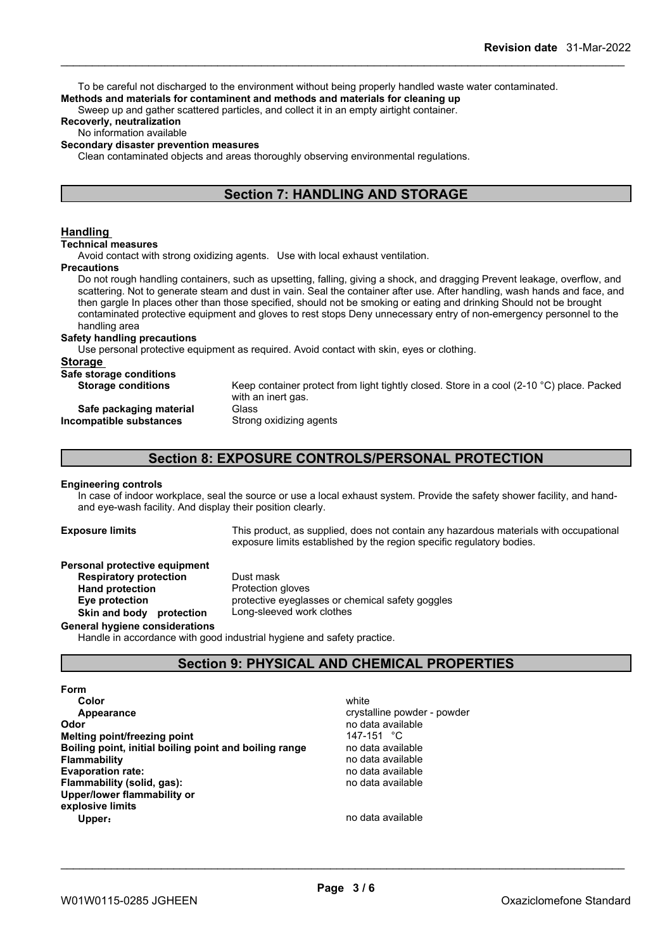To be careful not discharged to the environment without being properly handled waste water contaminated. **Methods and materials for contaminent and methods and materials for cleaning up**

Sweep up and gather scattered particles, and collect it in an empty airtight container.

#### **Recoverly, neutralization**

#### No information available

#### **Secondary disaster prevention measures**

Clean contaminated objects and areas thoroughly observing environmental regulations.

## **Section 7: HANDLING AND STORAGE**

#### **Handling**

#### **Technical measures**

Avoid contact with strong oxidizing agents. Use with local exhaust ventilation.

#### **Precautions**

Do not rough handling containers, such as upsetting, falling, giving a shock, and dragging Prevent leakage, overflow, and scattering. Not to generate steam and dust in vain. Seal the container after use. After handling, wash hands and face, and then gargle In places other than those specified, should not be smoking or eating and drinking Should not be brought contaminated protective equipment and gloves to rest stops Deny unnecessary entry of non-emergency personnel to the handling area

#### **Safety handling precautions**

Use personal protective equipment as required.Avoid contact with skin, eyes or clothing.

#### **Storage**

| Safe storage conditions   |            |
|---------------------------|------------|
| <b>Storage conditions</b> | Keep conta |
|                           |            |

## Keep container protect from light tightly closed. Store in a cool (2-10 °C) place. Packed with an inert gas.

#### **Safe packaging material** Glass **Incompatible substances** Strong oxidizing agents

## **Section 8: EXPOSURE CONTROLS/PERSONAL PROTECTION**

#### **Engineering controls**

In case of indoor workplace, seal the source or use a local exhaust system. Provide the safety shower facility, and handand eye-wash facility. And display their position clearly.

**Exposure limits** This product, as supplied, does not contain any hazardous materials with occupational exposure limits established by the region specific regulatory bodies.

#### **Personal protective equipment**

**Respiratory protection** Dust mask **Hand protection** Protection gloves **Eye protection** protective eyeglasses or chemical safety goggles **Skin and body protection** Long-sleeved work clothes

#### **General hygiene considerations**

Handle in accordance with good industrial hygiene and safety practice.

## **Section 9: PHYSICAL AND CHEMICAL PROPERTIES**

#### **Form**

**Color** white the color of the color white the color of the color of the color of the color of the color of the color **Appearance** crystalline powder - powder - powder - powder - powder - powder - powder - powder - powder - powder **Odor Odor** no data available **no data available no data available no data available no data available no data available no data available no data available no data available no data available no data a Melting point/freezing point noint** 147-151 °C<br> **Boiling point, initial boiling point and boiling range** and data available **Boiling** point, initial boiling point and boiling range **Flammability** no data available **Evaporation rate:** no data available **Flammability** (solid, gas): **Upper/lower flammability or explosive limits Upper**: **no data available**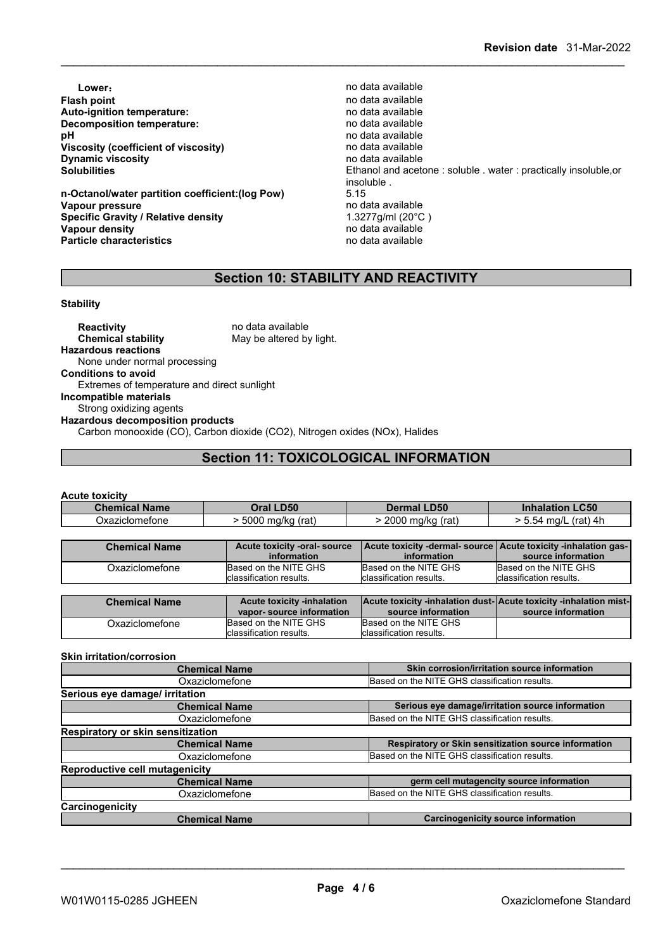**Lower: Contract available** to the contract of the contract of the contract of the contract of the contract of the contract of the contract of the contract of the contract of the contract of the contract of the contract **Flash point** no data available **Auto-ignition temperature:** no data available **Decomposition temperature: pH** no data available<br>Viscosity (coefficient of viscosity) **physics** and a available **Viscosity (coefficient of viscosity)** no data available<br> **Dynamic viscosity no data available Dynamic** viscosity

**n-Octanol/water partition coefficient:(log Pow)** 5.15 **Vapour pressure** no data available<br> **Specific Gravity / Relative density** 1.3277g/ml (20°C) **Specific Gravity / Relative density** 1.3277g/ml (20°C **Vapour density Vapour density**<br> **Particle characteristics**<br> **Particle characteristics**<br> **Particle characteristics Particle characteristics** 

**Solubilities** Ethanol and acetone : soluble . water : practically insoluble,or insoluble.<br>5.15

## **Section 10: STABILITY AND REACTIVITY**

#### **Stability**

**Reactivity** no data available<br> **Chemical stability** May be altered by May be altered by light. **Hazardous reactions** None under normal processing **Conditions to avoid** Extremes of temperature and direct sunlight **Incompatible materials** Strong oxidizing agents **Hazardous decomposition products** Carbon monooxide (CO), Carbon dioxide (CO2), Nitrogen oxides (NOx), Halides

## **Section 11: TOXICOLOGICAL INFORMATION**

#### **Acute toxicity**

| <b>Chemical Name</b> |                      | Oral LD50                    | <b>Dermal LD50</b>                                             | <b>Inhalation LC50</b>   |
|----------------------|----------------------|------------------------------|----------------------------------------------------------------|--------------------------|
| Oxaziclomefone       |                      | $>$ 5000 mg/kg (rat)         | > 2000 mg/kg (rat)                                             | > 5.54 mg/L (rat) 4h     |
|                      |                      |                              |                                                                |                          |
|                      | <b>Chemical Name</b> | Acute toxicity -oral- source | Acute toxicity -dermal- source Acute toxicity -inhalation gas- |                          |
|                      |                      | information                  | information                                                    | source information       |
|                      | Oxaziclomefone       | Based on the NITE GHS        | Based on the NITE GHS                                          | Based on the NITE GHS    |
|                      |                      | Iclassification results.     | classification results.                                        | Iclassification results. |

| <b>Chemical Name</b> | <b>Acute toxicity -inhalation</b><br>vapor-source information | <b>Acute toxicity -inhalation dust-Acute toxicity -inhalation mist-</b><br>source information | source information |
|----------------------|---------------------------------------------------------------|-----------------------------------------------------------------------------------------------|--------------------|
| Oxaziclomefone       | Based on the NITE GHS                                         | Based on the NITE GHS                                                                         |                    |
|                      | Iclassification results.                                      | Iclassification results.                                                                      |                    |

#### **Skin irritation/corrosion**

| <b>Chemical Name</b>                     | Skin corrosion/irritation source information         |
|------------------------------------------|------------------------------------------------------|
| Oxaziclomefone                           | Based on the NITE GHS classification results.        |
| Serious eye damage/ irritation           |                                                      |
| <b>Chemical Name</b>                     | Serious eye damage/irritation source information     |
| Oxaziclomefone                           | Based on the NITE GHS classification results.        |
| <b>Respiratory or skin sensitization</b> |                                                      |
| <b>Chemical Name</b>                     | Respiratory or Skin sensitization source information |
| Oxaziclomefone                           | Based on the NITE GHS classification results.        |
| <b>Reproductive cell mutagenicity</b>    |                                                      |
| <b>Chemical Name</b>                     | germ cell mutagencity source information             |
| Oxaziclomefone                           | Based on the NITE GHS classification results.        |
| Carcinogenicity                          |                                                      |
| <b>Chemical Name</b>                     | <b>Carcinogenicity source information</b>            |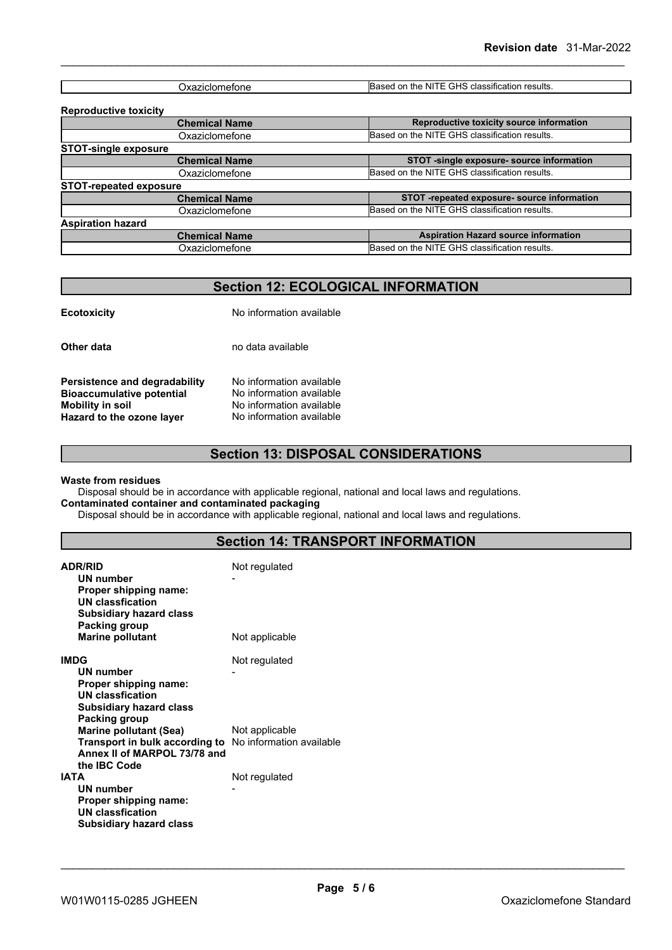| $\sim$ We $\sim$<br>.<br><b>JYAZICIOHIEIOHE</b> | זו ה<br>classification د.<br>results.<br><b>IBased</b><br>the<br>or<br>: NI<br>ت ⊟ ⊏. |
|-------------------------------------------------|---------------------------------------------------------------------------------------|

| <b>Reproductive toxicity</b>  |                                               |
|-------------------------------|-----------------------------------------------|
| <b>Chemical Name</b>          | Reproductive toxicity source information      |
| Oxaziclomefone                | Based on the NITE GHS classification results. |
| <b>STOT-single exposure</b>   |                                               |
| <b>Chemical Name</b>          | STOT -single exposure- source information     |
| Oxaziclomefone                | Based on the NITE GHS classification results. |
| <b>STOT-repeated exposure</b> |                                               |
| <b>Chemical Name</b>          | STOT -repeated exposure- source information   |
| Oxaziclomefone                | Based on the NITE GHS classification results. |
| <b>Aspiration hazard</b>      |                                               |
| <b>Chemical Name</b>          | <b>Aspiration Hazard source information</b>   |
| Oxaziclomefone                | Based on the NITE GHS classification results. |
|                               |                                               |

## **Section 12: ECOLOGICAL INFORMATION**

| <b>Ecotoxicity</b>                                                                                                        | No information available                                                                                     |
|---------------------------------------------------------------------------------------------------------------------------|--------------------------------------------------------------------------------------------------------------|
| Other data                                                                                                                | no data available                                                                                            |
| Persistence and degradability<br><b>Bioaccumulative potential</b><br><b>Mobility in soil</b><br>Hazard to the ozone layer | No information available<br>No information available<br>No information available<br>No information available |

## **Section 13: DISPOSAL CONSIDERATIONS**

#### **Waste from residues**

Disposal should be in accordance with applicable regional, national and local laws and regulations. **Contaminated container and contaminated packaging**

Disposal should be in accordance with applicable regional, national and local laws and regulations.

## **Section 14: TRANSPORT INFORMATION**

| <b>ADR/RID</b><br><b>UN number</b><br>Proper shipping name:<br><b>UN classfication</b><br><b>Subsidiary hazard class</b><br>Packing group       | Not regulated  |
|-------------------------------------------------------------------------------------------------------------------------------------------------|----------------|
| <b>Marine pollutant</b>                                                                                                                         | Not applicable |
| <b>IMDG</b><br>UN number<br>Proper shipping name:<br>UN classfication<br><b>Subsidiary hazard class</b><br>Packing group                        | Not regulated  |
| <b>Marine pollutant (Sea)</b><br>Transport in bulk according to No information available<br>Annex II of MARPOL 73/78 and<br>the <b>IBC</b> Code | Not applicable |
| <b>IATA</b><br><b>UN number</b><br>Proper shipping name:<br><b>UN classfication</b><br><b>Subsidiary hazard class</b>                           | Not regulated  |